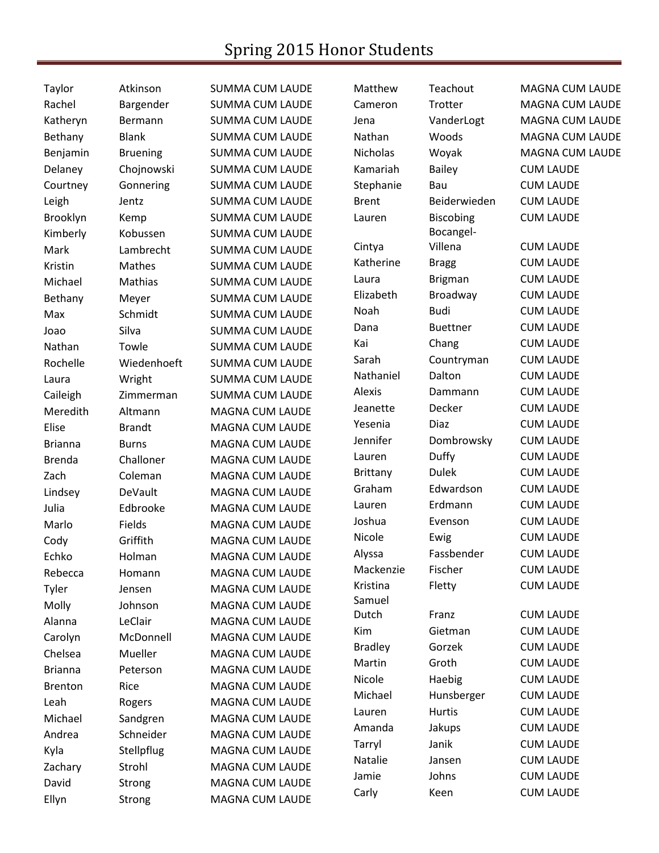## Spring 2015 Honor Students

| Taylor         | Atkinson        | <b>SUMMA CUM LAUDE</b> | Matthew         | Teachout         | <b>MAGNA CUM LAUDE</b> |
|----------------|-----------------|------------------------|-----------------|------------------|------------------------|
| Rachel         | Bargender       | <b>SUMMA CUM LAUDE</b> | Cameron         | Trotter          | <b>MAGNA CUM LAUDE</b> |
| Katheryn       | Bermann         | <b>SUMMA CUM LAUDE</b> | Jena            | VanderLogt       | MAGNA CUM LAUDE        |
| Bethany        | <b>Blank</b>    | <b>SUMMA CUM LAUDE</b> | Nathan          | Woods            | <b>MAGNA CUM LAUDE</b> |
| Benjamin       | <b>Bruening</b> | <b>SUMMA CUM LAUDE</b> | <b>Nicholas</b> | Woyak            | <b>MAGNA CUM LAUDE</b> |
| Delaney        | Chojnowski      | <b>SUMMA CUM LAUDE</b> | Kamariah        | <b>Bailey</b>    | <b>CUM LAUDE</b>       |
| Courtney       | Gonnering       | <b>SUMMA CUM LAUDE</b> | Stephanie       | Bau              | <b>CUM LAUDE</b>       |
| Leigh          | Jentz           | <b>SUMMA CUM LAUDE</b> | <b>Brent</b>    | Beiderwieden     | <b>CUM LAUDE</b>       |
| Brooklyn       | Kemp            | <b>SUMMA CUM LAUDE</b> | Lauren          | <b>Biscobing</b> | <b>CUM LAUDE</b>       |
| Kimberly       | Kobussen        | <b>SUMMA CUM LAUDE</b> |                 | Bocangel-        |                        |
| Mark           | Lambrecht       | <b>SUMMA CUM LAUDE</b> | Cintya          | Villena          | <b>CUM LAUDE</b>       |
| Kristin        | Mathes          | <b>SUMMA CUM LAUDE</b> | Katherine       | <b>Bragg</b>     | <b>CUM LAUDE</b>       |
| Michael        | Mathias         | <b>SUMMA CUM LAUDE</b> | Laura           | <b>Brigman</b>   | <b>CUM LAUDE</b>       |
| Bethany        | Meyer           | <b>SUMMA CUM LAUDE</b> | Elizabeth       | Broadway         | <b>CUM LAUDE</b>       |
| Max            | Schmidt         | <b>SUMMA CUM LAUDE</b> | Noah            | <b>Budi</b>      | <b>CUM LAUDE</b>       |
| Joao           | Silva           | <b>SUMMA CUM LAUDE</b> | Dana            | <b>Buettner</b>  | <b>CUM LAUDE</b>       |
| Nathan         | Towle           | <b>SUMMA CUM LAUDE</b> | Kai             | Chang            | <b>CUM LAUDE</b>       |
| Rochelle       | Wiedenhoeft     | <b>SUMMA CUM LAUDE</b> | Sarah           | Countryman       | <b>CUM LAUDE</b>       |
| Laura          | Wright          | <b>SUMMA CUM LAUDE</b> | Nathaniel       | Dalton           | <b>CUM LAUDE</b>       |
| Caileigh       | Zimmerman       | <b>SUMMA CUM LAUDE</b> | Alexis          | Dammann          | <b>CUM LAUDE</b>       |
| Meredith       | Altmann         | MAGNA CUM LAUDE        | Jeanette        | Decker           | <b>CUM LAUDE</b>       |
| Elise          | <b>Brandt</b>   | MAGNA CUM LAUDE        | Yesenia         | <b>Diaz</b>      | <b>CUM LAUDE</b>       |
| <b>Brianna</b> | <b>Burns</b>    | <b>MAGNA CUM LAUDE</b> | Jennifer        | Dombrowsky       | <b>CUM LAUDE</b>       |
| <b>Brenda</b>  | Challoner       | MAGNA CUM LAUDE        | Lauren          | Duffy            | <b>CUM LAUDE</b>       |
| Zach           | Coleman         | MAGNA CUM LAUDE        | <b>Brittany</b> | <b>Dulek</b>     | <b>CUM LAUDE</b>       |
| Lindsey        | DeVault         | MAGNA CUM LAUDE        | Graham          | Edwardson        | <b>CUM LAUDE</b>       |
| Julia          | Edbrooke        | <b>MAGNA CUM LAUDE</b> | Lauren          | Erdmann          | <b>CUM LAUDE</b>       |
| Marlo          | Fields          | <b>MAGNA CUM LAUDE</b> | Joshua          | Evenson          | <b>CUM LAUDE</b>       |
| Cody           | Griffith        | MAGNA CUM LAUDE        | Nicole          | Ewig             | <b>CUM LAUDE</b>       |
| Echko          | Holman          | <b>MAGNA CUM LAUDE</b> | Alyssa          | Fassbender       | <b>CUM LAUDE</b>       |
| Rebecca        | Homann          | <b>MAGNA CUM LAUDE</b> | Mackenzie       | Fischer          | <b>CUM LAUDE</b>       |
| Tyler          | Jensen          | MAGNA CUM LAUDE        | Kristina        | Fletty           | <b>CUM LAUDE</b>       |
| Molly          | Johnson         | <b>MAGNA CUM LAUDE</b> | Samuel          |                  |                        |
| Alanna         | LeClair         | MAGNA CUM LAUDE        | Dutch           | Franz            | <b>CUM LAUDE</b>       |
| Carolyn        | McDonnell       | <b>MAGNA CUM LAUDE</b> | Kim             | Gietman          | <b>CUM LAUDE</b>       |
| Chelsea        | Mueller         | MAGNA CUM LAUDE        | <b>Bradley</b>  | Gorzek           | <b>CUM LAUDE</b>       |
| <b>Brianna</b> | Peterson        | MAGNA CUM LAUDE        | Martin          | Groth            | <b>CUM LAUDE</b>       |
| <b>Brenton</b> | Rice            | <b>MAGNA CUM LAUDE</b> | Nicole          | Haebig           | <b>CUM LAUDE</b>       |
| Leah           | Rogers          | <b>MAGNA CUM LAUDE</b> | Michael         | Hunsberger       | <b>CUM LAUDE</b>       |
| Michael        | Sandgren        | MAGNA CUM LAUDE        | Lauren          | <b>Hurtis</b>    | <b>CUM LAUDE</b>       |
| Andrea         | Schneider       | MAGNA CUM LAUDE        | Amanda          | Jakups           | <b>CUM LAUDE</b>       |
| Kyla           | Stellpflug      | MAGNA CUM LAUDE        | Tarryl          | Janik            | <b>CUM LAUDE</b>       |
| Zachary        | Strohl          | <b>MAGNA CUM LAUDE</b> | Natalie         | Jansen           | <b>CUM LAUDE</b>       |
| David          | Strong          | MAGNA CUM LAUDE        | Jamie           | Johns            | <b>CUM LAUDE</b>       |
| Ellyn          | <b>Strong</b>   | MAGNA CUM LAUDE        | Carly           | Keen             | <b>CUM LAUDE</b>       |
|                |                 |                        |                 |                  |                        |